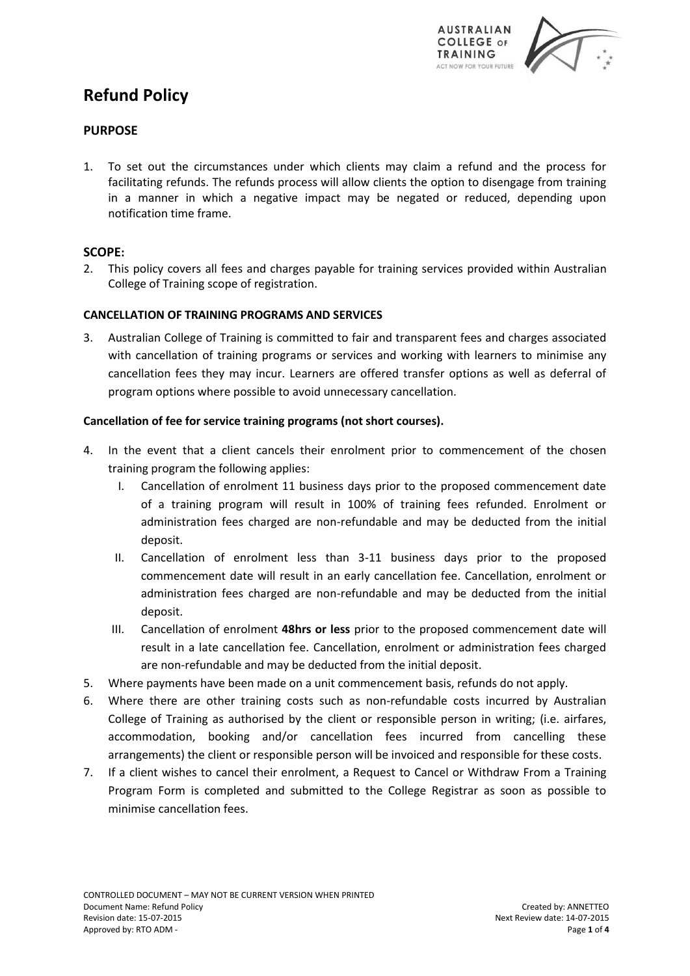

# **Refund Policy**

# **PURPOSE**

1. To set out the circumstances under which clients may claim a refund and the process for facilitating refunds. The refunds process will allow clients the option to disengage from training in a manner in which a negative impact may be negated or reduced, depending upon notification time frame.

# **SCOPE:**

2. This policy covers all fees and charges payable for training services provided within Australian College of Training scope of registration.

### **CANCELLATION OF TRAINING PROGRAMS AND SERVICES**

3. Australian College of Training is committed to fair and transparent fees and charges associated with cancellation of training programs or services and working with learners to minimise any cancellation fees they may incur. Learners are offered transfer options as well as deferral of program options where possible to avoid unnecessary cancellation.

### **Cancellation of fee for service training programs (not short courses).**

- 4. In the event that a client cancels their enrolment prior to commencement of the chosen training program the following applies:
	- I. Cancellation of enrolment 11 business days prior to the proposed commencement date of a training program will result in 100% of training fees refunded. Enrolment or administration fees charged are non-refundable and may be deducted from the initial deposit.
	- II. Cancellation of enrolment less than 3-11 business days prior to the proposed commencement date will result in an early cancellation fee. Cancellation, enrolment or administration fees charged are non-refundable and may be deducted from the initial deposit.
	- III. Cancellation of enrolment **48hrs or less** prior to the proposed commencement date will result in a late cancellation fee. Cancellation, enrolment or administration fees charged are non-refundable and may be deducted from the initial deposit.
- 5. Where payments have been made on a unit commencement basis, refunds do not apply.
- 6. Where there are other training costs such as non-refundable costs incurred by Australian College of Training as authorised by the client or responsible person in writing; (i.e. airfares, accommodation, booking and/or cancellation fees incurred from cancelling these arrangements) the client or responsible person will be invoiced and responsible for these costs.
- 7. If a client wishes to cancel their enrolment, a Request to Cancel or Withdraw From a Training Program Form is completed and submitted to the College Registrar as soon as possible to minimise cancellation fees.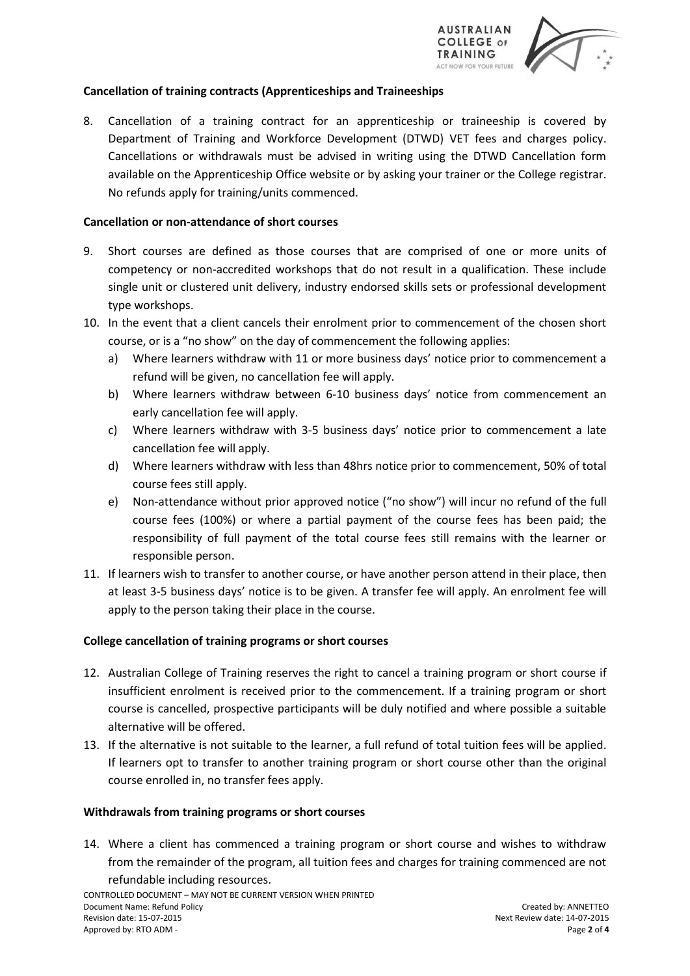



# **Cancellation of training contracts (Apprenticeships and Traineeships**

8. Cancellation of a training contract for an apprenticeship or traineeship is covered by Department of Training and Workforce Development (DTWD) VET fees and charges policy. Cancellations or withdrawals must be advised in writing using the DTWD Cancellation form available on the Apprenticeship Office website or by asking your trainer or the College registrar. No refunds apply for training/units commenced.

# **Cancellation or non-attendance of short courses**

- 9. Short courses are defined as those courses that are comprised of one or more units of competency or non-accredited workshops that do not result in a qualification. These include single unit or clustered unit delivery, industry endorsed skills sets or professional development type workshops.
- 10. In the event that a client cancels their enrolment prior to commencement of the chosen short course, or is a "no show" on the day of commencement the following applies:
	- a) Where learners withdraw with 11 or more business days' notice prior to commencement a refund will be given, no cancellation fee will apply.
	- b) Where learners withdraw between 6-10 business days' notice from commencement an early cancellation fee will apply.
	- c) Where learners withdraw with 3-5 business days' notice prior to commencement a late cancellation fee will apply.
	- d) Where learners withdraw with less than 48hrs notice prior to commencement, 50% of total course fees still apply.
	- e) Non-attendance without prior approved notice ("no show") will incur no refund of the full course fees (100%) or where a partial payment of the course fees has been paid; the responsibility of full payment of the total course fees still remains with the learner or responsible person.
- 11. If learners wish to transfer to another course, or have another person attend in their place, then at least 3-5 business days' notice is to be given. A transfer fee will apply. An enrolment fee will apply to the person taking their place in the course.

### **College cancellation of training programs or short courses**

- 12. Australian College of Training reserves the right to cancel a training program or short course if insufficient enrolment is received prior to the commencement. If a training program or short course is cancelled, prospective participants will be duly notified and where possible a suitable alternative will be offered.
- 13. If the alternative is not suitable to the learner, a full refund of total tuition fees will be applied. If learners opt to transfer to another training program or short course other than the original course enrolled in, no transfer fees apply.

### **Withdrawals from training programs or short courses**

14. Where a client has commenced a training program or short course and wishes to withdraw from the remainder of the program, all tuition fees and charges for training commenced are not refundable including resources.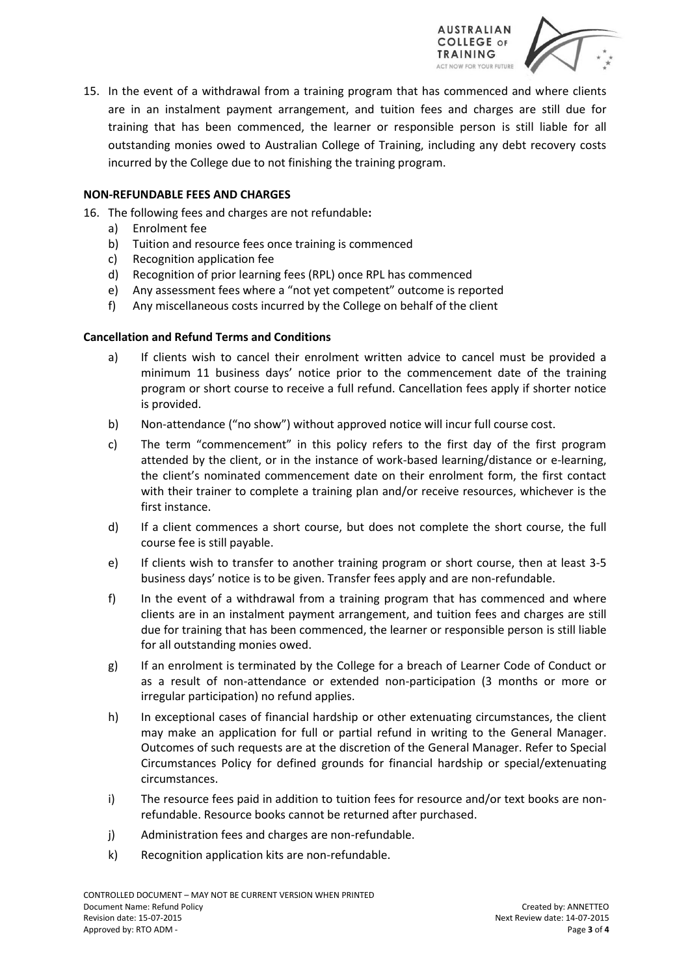



15. In the event of a withdrawal from a training program that has commenced and where clients are in an instalment payment arrangement, and tuition fees and charges are still due for training that has been commenced, the learner or responsible person is still liable for all outstanding monies owed to Australian College of Training, including any debt recovery costs incurred by the College due to not finishing the training program.

# **NON-REFUNDABLE FEES AND CHARGES**

- 16. The following fees and charges are not refundable**:** 
	- a) Enrolment fee
	- b) Tuition and resource fees once training is commenced
	- c) Recognition application fee
	- d) Recognition of prior learning fees (RPL) once RPL has commenced
	- e) Any assessment fees where a "not yet competent" outcome is reported
	- f) Any miscellaneous costs incurred by the College on behalf of the client

### **Cancellation and Refund Terms and Conditions**

- a) If clients wish to cancel their enrolment written advice to cancel must be provided a minimum 11 business days' notice prior to the commencement date of the training program or short course to receive a full refund. Cancellation fees apply if shorter notice is provided.
- b) Non-attendance ("no show") without approved notice will incur full course cost.
- c) The term "commencement" in this policy refers to the first day of the first program attended by the client, or in the instance of work-based learning/distance or e-learning, the client's nominated commencement date on their enrolment form, the first contact with their trainer to complete a training plan and/or receive resources, whichever is the first instance.
- d) If a client commences a short course, but does not complete the short course, the full course fee is still payable.
- e) If clients wish to transfer to another training program or short course, then at least 3-5 business days' notice is to be given. Transfer fees apply and are non-refundable.
- f) In the event of a withdrawal from a training program that has commenced and where clients are in an instalment payment arrangement, and tuition fees and charges are still due for training that has been commenced, the learner or responsible person is still liable for all outstanding monies owed.
- g) If an enrolment is terminated by the College for a breach of Learner Code of Conduct or as a result of non-attendance or extended non-participation (3 months or more or irregular participation) no refund applies.
- h) In exceptional cases of financial hardship or other extenuating circumstances, the client may make an application for full or partial refund in writing to the General Manager. Outcomes of such requests are at the discretion of the General Manager. Refer to Special Circumstances Policy for defined grounds for financial hardship or special/extenuating circumstances.
- i) The resource fees paid in addition to tuition fees for resource and/or text books are nonrefundable. Resource books cannot be returned after purchased.
- j) Administration fees and charges are non-refundable.
- k) Recognition application kits are non-refundable.